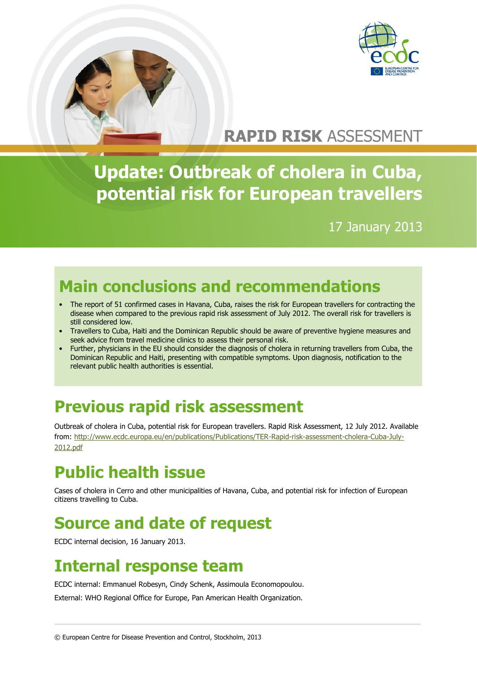



# **RAPID RISK** ASSESSMENT

# **Update: Outbreak of cholera in Cuba, potential risk for European travellers**

17 January 2013

# **Main conclusions and recommendations**

- The report of 51 confirmed cases in Havana, Cuba, raises the risk for European travellers for contracting the disease when compared to the previous rapid risk assessment of July 2012. The overall risk for travellers is still considered low.
- Travellers to Cuba, Haiti and the Dominican Republic should be aware of preventive hygiene measures and seek advice from travel medicine clinics to assess their personal risk.
- Further, physicians in the EU should consider the diagnosis of cholera in returning travellers from Cuba, the Dominican Republic and Haiti, presenting with compatible symptoms. Upon diagnosis, notification to the relevant public health authorities is essential.

## **Previous rapid risk assessment**

Outbreak of cholera in Cuba, potential risk for European travellers. Rapid Risk Assessment, 12 July 2012. Available from: [http://www.ecdc.europa.eu/en/publications/Publications/TER-Rapid-risk-assessment-cholera-Cuba-July-](http://www.ecdc.europa.eu/en/publications/Publications/TER-Rapid-risk-assessment-cholera-Cuba-July-2012.pdf)[2012.pdf](http://www.ecdc.europa.eu/en/publications/Publications/TER-Rapid-risk-assessment-cholera-Cuba-July-2012.pdf)

# **Public health issue**

Cases of cholera in Cerro and other municipalities of Havana, Cuba, and potential risk for infection of European citizens travelling to Cuba.

## **Source and date of request**

ECDC internal decision, 16 January 2013.

### **Internal response team**

ECDC internal: Emmanuel Robesyn, Cindy Schenk, Assimoula Economopoulou.

External: WHO Regional Office for Europe, Pan American Health Organization.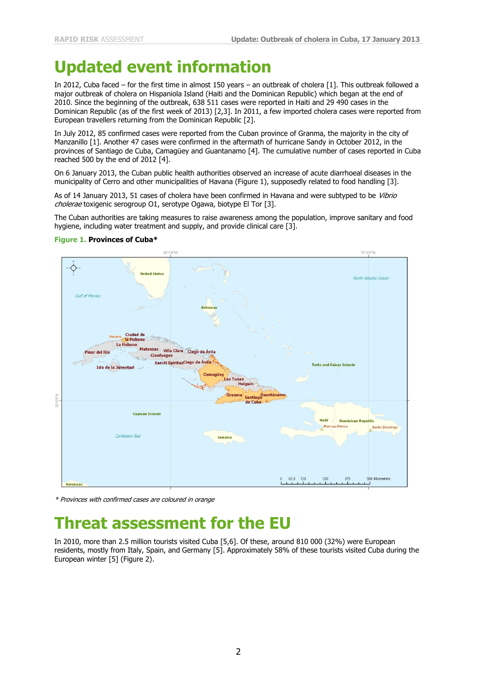### **Updated event information**

In 2012, Cuba faced – for the first time in almost 150 years – an outbreak of cholera [1]. This outbreak followed a major outbreak of cholera on Hispaniola Island (Haiti and the Dominican Republic) which began at the end of 2010. Since the beginning of the outbreak, 638 511 cases were reported in Haiti and 29 490 cases in the Dominican Republic (as of the first week of 2013) [2,3]. In 2011, a few imported cholera cases were reported from European travellers returning from the Dominican Republic [2].

In July 2012, 85 confirmed cases were reported from the Cuban province of Granma, the majority in the city of Manzanillo [1]. Another 47 cases were confirmed in the aftermath of hurricane Sandy in October 2012, in the provinces of Santiago de Cuba, Camagüey and Guantanamo [4]. The cumulative number of cases reported in Cuba reached 500 by the end of 2012 [4].

On 6 January 2013, the Cuban public health authorities observed an increase of acute diarrhoeal diseases in the municipality of Cerro and other municipalities of Havana (Figure 1), supposedly related to food handling [3].

As of 14 January 2013, 51 cases of cholera have been confirmed in Havana and were subtyped to be Vibrio cholerae toxigenic serogroup O1, serotype Ogawa, biotype El Tor [3].

The Cuban authorities are taking measures to raise awareness among the population, improve sanitary and food hygiene, including water treatment and supply, and provide clinical care [3].



#### **Figure 1. Provinces of Cuba\***

\* Provinces with confirmed cases are coloured in orange

### **Threat assessment for the EU**

In 2010, more than 2.5 million tourists visited Cuba [5,6]. Of these, around 810 000 (32%) were European residents, mostly from Italy, Spain, and Germany [5]. Approximately 58% of these tourists visited Cuba during the European winter [5] (Figure 2).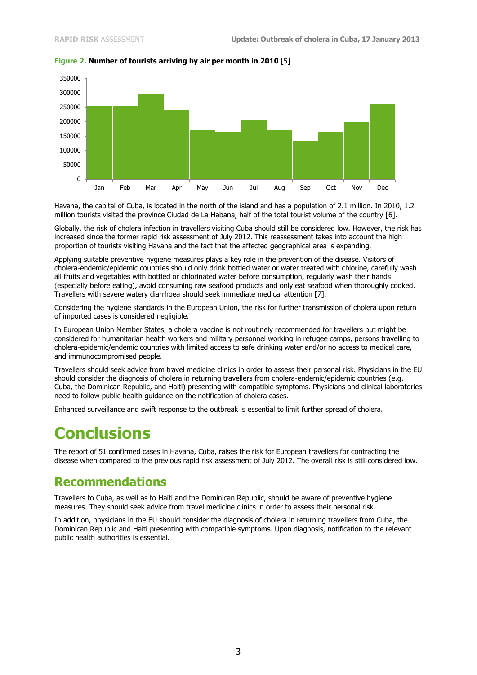

#### **Figure 2. Number of tourists arriving by air per month in 2010** [5]

Havana, the capital of Cuba, is located in the north of the island and has a population of 2.1 million. In 2010, 1.2 million tourists visited the province Ciudad de La Habana, half of the total tourist volume of the country [6].

Globally, the risk of cholera infection in travellers visiting Cuba should still be considered low. However, the risk has increased since the former rapid risk assessment of July 2012. This reassessment takes into account the high proportion of tourists visiting Havana and the fact that the affected geographical area is expanding.

Applying suitable preventive hygiene measures plays a key role in the prevention of the disease. Visitors of cholera-endemic/epidemic countries should only drink bottled water or water treated with chlorine, carefully wash all fruits and vegetables with bottled or chlorinated water before consumption, regularly wash their hands (especially before eating), avoid consuming raw seafood products and only eat seafood when thoroughly cooked. Travellers with severe watery diarrhoea should seek immediate medical attention [7].

Considering the hygiene standards in the European Union, the risk for further transmission of cholera upon return of imported cases is considered negligible.

In European Union Member States, a cholera vaccine is not routinely recommended for travellers but might be considered for humanitarian health workers and military personnel working in refugee camps, persons travelling to cholera-epidemic/endemic countries with limited access to safe drinking water and/or no access to medical care, and immunocompromised people.

Travellers should seek advice from travel medicine clinics in order to assess their personal risk. Physicians in the EU should consider the diagnosis of cholera in returning travellers from cholera-endemic/epidemic countries (e.g. Cuba, the Dominican Republic, and Haiti) presenting with compatible symptoms. Physicians and clinical laboratories need to follow public health guidance on the notification of cholera cases.

Enhanced surveillance and swift response to the outbreak is essential to limit further spread of cholera.

### **Conclusions**

The report of 51 confirmed cases in Havana, Cuba, raises the risk for European travellers for contracting the disease when compared to the previous rapid risk assessment of July 2012. The overall risk is still considered low.

#### **Recommendations**

Travellers to Cuba, as well as to Haiti and the Dominican Republic, should be aware of preventive hygiene measures. They should seek advice from travel medicine clinics in order to assess their personal risk.

In addition, physicians in the EU should consider the diagnosis of cholera in returning travellers from Cuba, the Dominican Republic and Haiti presenting with compatible symptoms. Upon diagnosis, notification to the relevant public health authorities is essential.